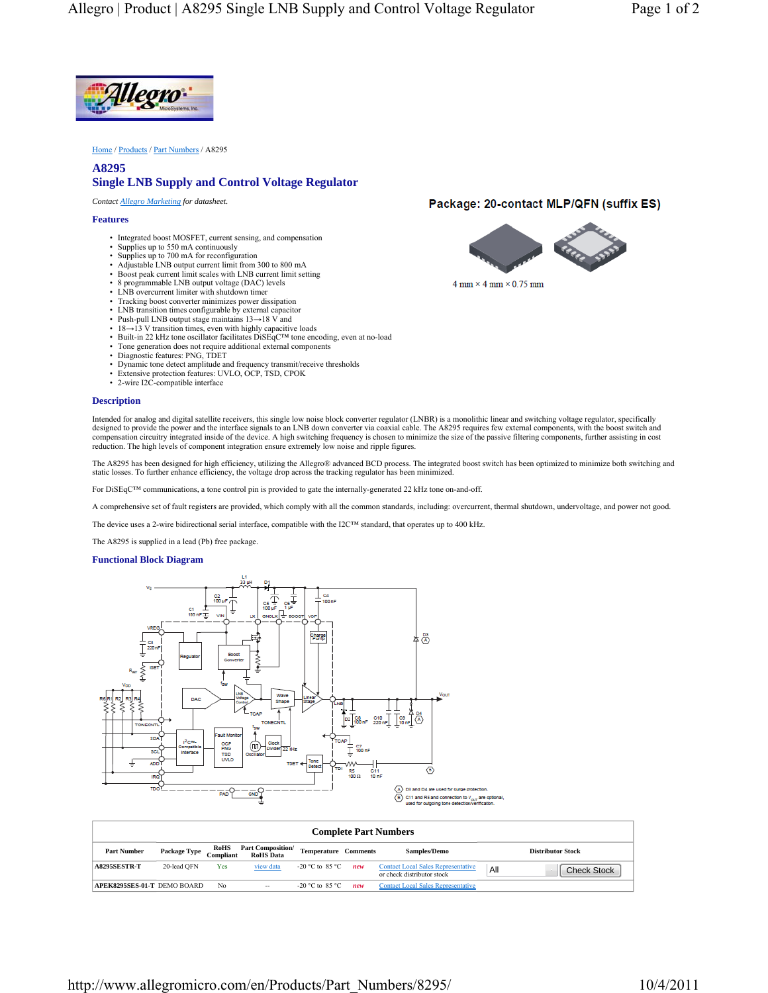

Home / Products / Part Numbers / A8295

# **A8295 Single LNB Supply and Control Voltage Regulator**

*Contact Allegro Marketing for datasheet.*

### **Features**

- Integrated boost MOSFET, current sensing, and compensation
- Supplies up to 550 mA continuously
- Supplies up to 700 mA for reconfiguration
- Adjustable LNB output current limit from 300 to 800 mA
- Boost peak current limit scales with LNB current limit setting
- 8 programmable LNB output voltage (DAC) levels • LNB overcurrent limiter with shutdown timer
- Tracking boost converter minimizes power dissipation
- LNB transition times configurable by external capacitor
- 
- Push-pull LNB output stage maintains 13→18 V and 18→13 V transition times, even with highly capacitive loads
- Built-in 22 kHz tone oscillator facilitates DiSEqC™ tone encoding, even at no-load
- Tone generation does not require additional external components
- Diagnostic features: PNG, TDET
- 
- Dynamic tone detect amplitude and frequency transmit/receive thresholds Extensive protection features: UVLO, OCP, TSD, CPOK
- 2-wire I2C-compatible interface

#### **Description**

Intended for analog and digital satellite receivers, this single low noise block converter regulator (LNBR) is a monolithic linear and switching voltage regulator, specifically<br>designed to provide the power and the interfa compensation circuitry integrated inside of the device. A high switching frequency is chosen to minimize the size of the passive filtering components, further assisting in cost reduction. The high levels of component integration ensure extremely low noise and ripple figures.

The A8295 has been designed for high efficiency, utilizing the Allegro® advanced BCD process. The integrated boost switch has been optimized to minimize both switching and static losses. To further enhance efficiency, the voltage drop across the tracking regulator has been minimized.

For DiSEqC™ communications, a tone control pin is provided to gate the internally-generated 22 kHz tone on-and-off.

A comprehensive set of fault registers are provided, which comply with all the common standards, including: overcurrent, thermal shutdown, undervoltage, and power not good.

The device uses a 2-wire bidirectional serial interface, compatible with the I2C™ standard, that operates up to 400 kHz.

The A8295 is supplied in a lead (Pb) free package.

### **Functional Block Diagram**



| <b>Complete Part Numbers</b> |              |                          |                                              |                             |     |                                                                         |     |                          |
|------------------------------|--------------|--------------------------|----------------------------------------------|-----------------------------|-----|-------------------------------------------------------------------------|-----|--------------------------|
| <b>Part Number</b>           | Package Type | <b>RoHS</b><br>Compliant | <b>Part Composition/</b><br><b>RoHS</b> Data | <b>Temperature Comments</b> |     | <b>Samples/Demo</b>                                                     |     | <b>Distributor Stock</b> |
| <b>A8295SESTR-T</b>          | 20-lead OFN  | Yes                      | view data                                    | -20 °C to 85 °C.            | new | <b>Contact Local Sales Representative</b><br>or check distributor stock | All | <b>Check Stock</b>       |
| APEK8295SES-01-T DEMO BOARD  |              | N <sub>0</sub>           | $-$                                          | -20 °C to 85 °C             | new | <b>Contact Local Sales Representative</b>                               |     |                          |

## Package: 20-contact MLP/QFN (suffix ES)